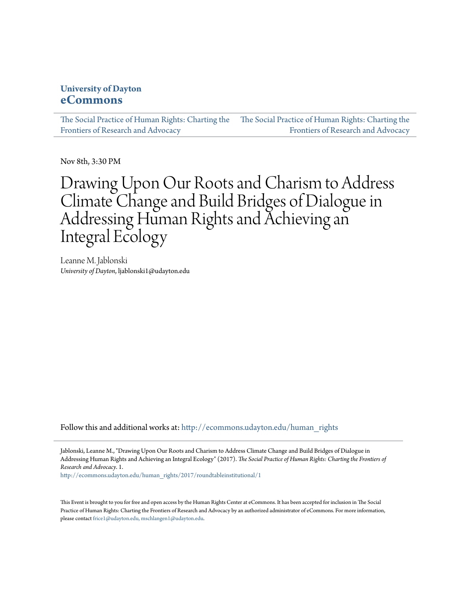### **University of Dayton [eCommons](http://ecommons.udayton.edu?utm_source=ecommons.udayton.edu%2Fhuman_rights%2F2017%2Froundtableinstitutional%2F1&utm_medium=PDF&utm_campaign=PDFCoverPages)**

[The Social Practice of Human Rights: Charting the](http://ecommons.udayton.edu/human_rights?utm_source=ecommons.udayton.edu%2Fhuman_rights%2F2017%2Froundtableinstitutional%2F1&utm_medium=PDF&utm_campaign=PDFCoverPages) [Frontiers of Research and Advocacy](http://ecommons.udayton.edu/human_rights?utm_source=ecommons.udayton.edu%2Fhuman_rights%2F2017%2Froundtableinstitutional%2F1&utm_medium=PDF&utm_campaign=PDFCoverPages) [The Social Practice of Human Rights: Charting the](http://ecommons.udayton.edu/human_rights/2017?utm_source=ecommons.udayton.edu%2Fhuman_rights%2F2017%2Froundtableinstitutional%2F1&utm_medium=PDF&utm_campaign=PDFCoverPages) [Frontiers of Research and Advocacy](http://ecommons.udayton.edu/human_rights/2017?utm_source=ecommons.udayton.edu%2Fhuman_rights%2F2017%2Froundtableinstitutional%2F1&utm_medium=PDF&utm_campaign=PDFCoverPages)

Nov 8th, 3:30 PM

# Drawing Upon Our Roots and Charism to Address Climate Change and Build Bridges of Dialogue in Addressing Human Rights and Achieving an Integral Ecology

Leanne M. Jablonski *University of Dayton*, ljablonski1@udayton.edu

Follow this and additional works at: [http://ecommons.udayton.edu/human\\_rights](http://ecommons.udayton.edu/human_rights?utm_source=ecommons.udayton.edu%2Fhuman_rights%2F2017%2Froundtableinstitutional%2F1&utm_medium=PDF&utm_campaign=PDFCoverPages)

Jablonski, Leanne M., "Drawing Upon Our Roots and Charism to Address Climate Change and Build Bridges of Dialogue in Addressing Human Rights and Achieving an Integral Ecology" (2017). *The Social Practice of Human Rights: Charting the Frontiers of Research and Advocacy*. 1.

[http://ecommons.udayton.edu/human\\_rights/2017/roundtableinstitutional/1](http://ecommons.udayton.edu/human_rights/2017/roundtableinstitutional/1?utm_source=ecommons.udayton.edu%2Fhuman_rights%2F2017%2Froundtableinstitutional%2F1&utm_medium=PDF&utm_campaign=PDFCoverPages)

This Event is brought to you for free and open access by the Human Rights Center at eCommons. It has been accepted for inclusion in The Social Practice of Human Rights: Charting the Frontiers of Research and Advocacy by an authorized administrator of eCommons. For more information, please contact [frice1@udayton.edu, mschlangen1@udayton.edu.](mailto:frice1@udayton.edu,%20mschlangen1@udayton.edu)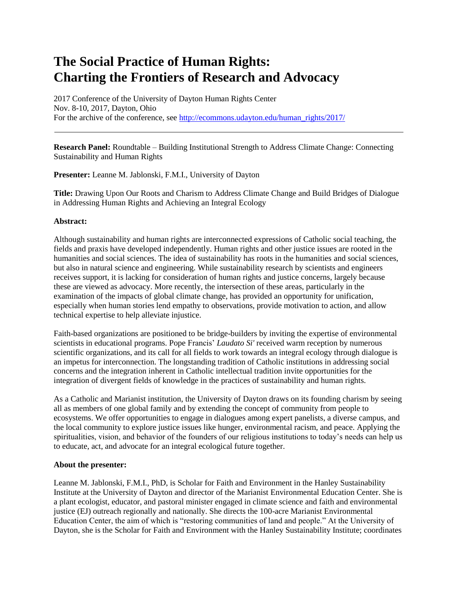## **The Social Practice of Human Rights: Charting the Frontiers of Research and Advocacy**

2017 Conference of the University of Dayton Human Rights Center Nov. 8-10, 2017, Dayton, Ohio For the archive of the conference, see [http://ecommons.udayton.edu/human\\_rights/2017/](http://ecommons.udayton.edu/human_rights/2017/)

**Research Panel:** Roundtable – Building Institutional Strength to Address Climate Change: Connecting Sustainability and Human Rights

**Presenter:** Leanne M. Jablonski, F.M.I., University of Dayton

**Title:** Drawing Upon Our Roots and Charism to Address Climate Change and Build Bridges of Dialogue in Addressing Human Rights and Achieving an Integral Ecology

### **Abstract:**

Although sustainability and human rights are interconnected expressions of Catholic social teaching, the fields and praxis have developed independently. Human rights and other justice issues are rooted in the humanities and social sciences. The idea of sustainability has roots in the humanities and social sciences, but also in natural science and engineering. While sustainability research by scientists and engineers receives support, it is lacking for consideration of human rights and justice concerns, largely because these are viewed as advocacy. More recently, the intersection of these areas, particularly in the examination of the impacts of global climate change, has provided an opportunity for unification, especially when human stories lend empathy to observations, provide motivation to action, and allow technical expertise to help alleviate injustice.

Faith-based organizations are positioned to be bridge-builders by inviting the expertise of environmental scientists in educational programs. Pope Francis' *Laudato Si'* received warm reception by numerous scientific organizations, and its call for all fields to work towards an integral ecology through dialogue is an impetus for interconnection. The longstanding tradition of Catholic institutions in addressing social concerns and the integration inherent in Catholic intellectual tradition invite opportunities for the integration of divergent fields of knowledge in the practices of sustainability and human rights.

As a Catholic and Marianist institution, the University of Dayton draws on its founding charism by seeing all as members of one global family and by extending the concept of community from people to ecosystems. We offer opportunities to engage in dialogues among expert panelists, a diverse campus, and the local community to explore justice issues like hunger, environmental racism, and peace. Applying the spiritualities, vision, and behavior of the founders of our religious institutions to today's needs can help us to educate, act, and advocate for an integral ecological future together.

#### **About the presenter:**

Leanne M. Jablonski, F.M.I., PhD, is Scholar for Faith and Environment in the Hanley Sustainability Institute at the University of Dayton and director of the Marianist Environmental Education Center. She is a plant ecologist, educator, and pastoral minister engaged in climate science and faith and environmental justice (EJ) outreach regionally and nationally. She directs the 100-acre Marianist Environmental Education Center, the aim of which is "restoring communities of land and people." At the University of Dayton, she is the Scholar for Faith and Environment with the Hanley Sustainability Institute; coordinates